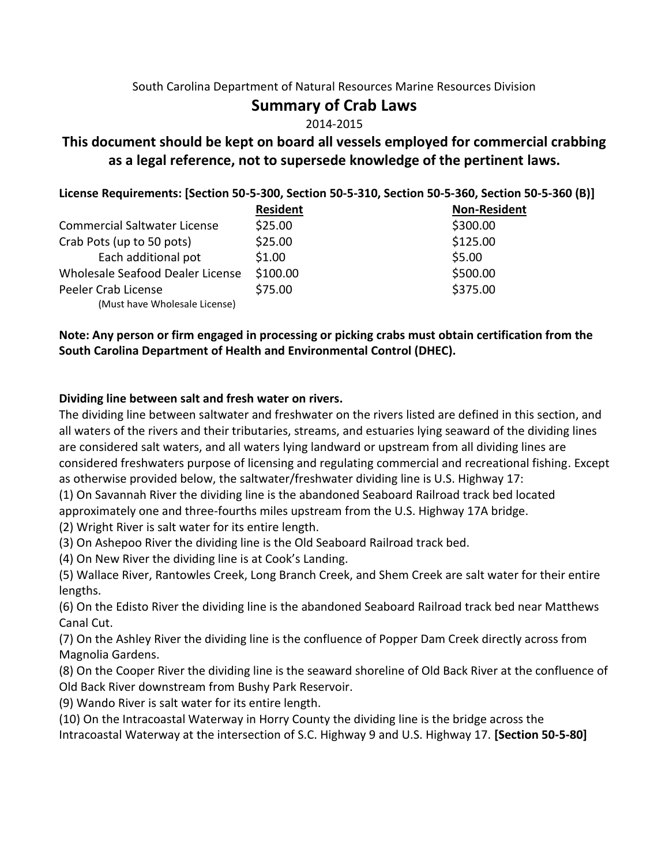#### South Carolina Department of Natural Resources Marine Resources Division

# **Summary of Crab Laws**

#### 2014-2015

# **This document should be kept on board all vessels employed for commercial crabbing as a legal reference, not to supersede knowledge of the pertinent laws.**

|  |  | License Requirements: [Section 50-5-300, Section 50-5-310, Section 50-5-360, Section 50-5-360 (B)] |  |
|--|--|----------------------------------------------------------------------------------------------------|--|
|--|--|----------------------------------------------------------------------------------------------------|--|

|                                     | <b>Resident</b> | <b>Non-Resident</b> |
|-------------------------------------|-----------------|---------------------|
| <b>Commercial Saltwater License</b> | \$25.00         | \$300.00            |
| Crab Pots (up to 50 pots)           | \$25.00         | \$125.00            |
| Each additional pot                 | \$1.00          | \$5.00              |
| Wholesale Seafood Dealer License    | \$100.00        | \$500.00            |
| Peeler Crab License                 | \$75.00         | \$375.00            |
| (Must have Wholesale License)       |                 |                     |

## **Note: Any person or firm engaged in processing or picking crabs must obtain certification from the South Carolina Department of Health and Environmental Control (DHEC).**

#### **Dividing line between salt and fresh water on rivers.**

The dividing line between saltwater and freshwater on the rivers listed are defined in this section, and all waters of the rivers and their tributaries, streams, and estuaries lying seaward of the dividing lines are considered salt waters, and all waters lying landward or upstream from all dividing lines are considered freshwaters purpose of licensing and regulating commercial and recreational fishing. Except as otherwise provided below, the saltwater/freshwater dividing line is U.S. Highway 17:

(1) On Savannah River the dividing line is the abandoned Seaboard Railroad track bed located approximately one and three-fourths miles upstream from the U.S. Highway 17A bridge.

(2) Wright River is salt water for its entire length.

(3) On Ashepoo River the dividing line is the Old Seaboard Railroad track bed.

(4) On New River the dividing line is at Cook's Landing.

(5) Wallace River, Rantowles Creek, Long Branch Creek, and Shem Creek are salt water for their entire lengths.

(6) On the Edisto River the dividing line is the abandoned Seaboard Railroad track bed near Matthews Canal Cut.

(7) On the Ashley River the dividing line is the confluence of Popper Dam Creek directly across from Magnolia Gardens.

(8) On the Cooper River the dividing line is the seaward shoreline of Old Back River at the confluence of Old Back River downstream from Bushy Park Reservoir.

(9) Wando River is salt water for its entire length.

(10) On the Intracoastal Waterway in Horry County the dividing line is the bridge across the

Intracoastal Waterway at the intersection of S.C. Highway 9 and U.S. Highway 17. **[Section 50-5-80]**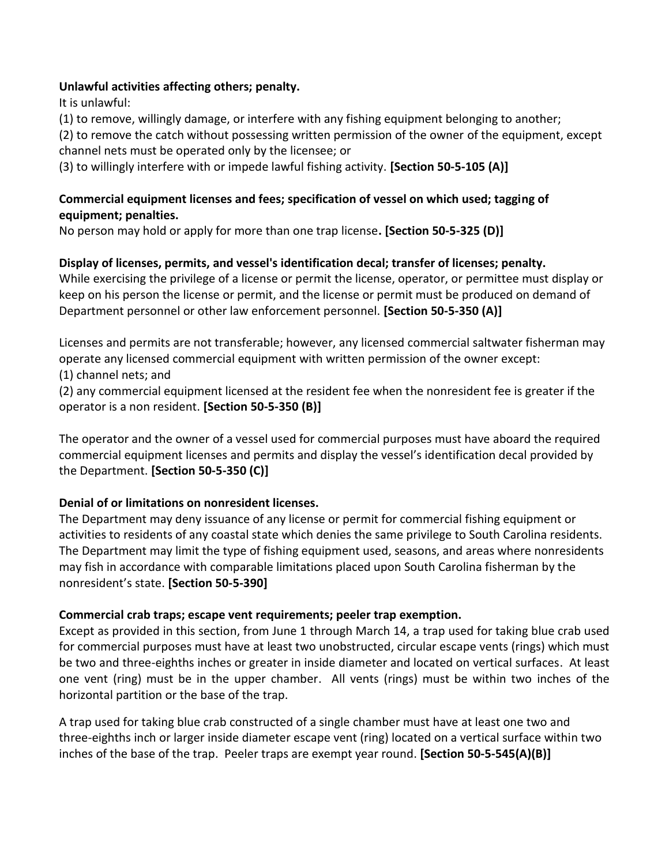#### **Unlawful activities affecting others; penalty.**

It is unlawful:

(1) to remove, willingly damage, or interfere with any fishing equipment belonging to another;

(2) to remove the catch without possessing written permission of the owner of the equipment, except channel nets must be operated only by the licensee; or

(3) to willingly interfere with or impede lawful fishing activity. **[Section 50-5-105 (A)]**

## **Commercial equipment licenses and fees; specification of vessel on which used; tagging of equipment; penalties.**

No person may hold or apply for more than one trap license**. [Section 50-5-325 (D)]**

## **Display of licenses, permits, and vessel's identification decal; transfer of licenses; penalty.**

While exercising the privilege of a license or permit the license, operator, or permittee must display or keep on his person the license or permit, and the license or permit must be produced on demand of Department personnel or other law enforcement personnel. **[Section 50-5-350 (A)]**

Licenses and permits are not transferable; however, any licensed commercial saltwater fisherman may operate any licensed commercial equipment with written permission of the owner except:

(1) channel nets; and

(2) any commercial equipment licensed at the resident fee when the nonresident fee is greater if the operator is a non resident. **[Section 50-5-350 (B)]**

The operator and the owner of a vessel used for commercial purposes must have aboard the required commercial equipment licenses and permits and display the vessel's identification decal provided by the Department. **[Section 50-5-350 (C)]**

# **Denial of or limitations on nonresident licenses.**

The Department may deny issuance of any license or permit for commercial fishing equipment or activities to residents of any coastal state which denies the same privilege to South Carolina residents. The Department may limit the type of fishing equipment used, seasons, and areas where nonresidents may fish in accordance with comparable limitations placed upon South Carolina fisherman by the nonresident's state. **[Section 50-5-390]**

#### **Commercial crab traps; escape vent requirements; peeler trap exemption.**

Except as provided in this section, from June 1 through March 14, a trap used for taking blue crab used for commercial purposes must have at least two unobstructed, circular escape vents (rings) which must be two and three-eighths inches or greater in inside diameter and located on vertical surfaces. At least one vent (ring) must be in the upper chamber. All vents (rings) must be within two inches of the horizontal partition or the base of the trap.

A trap used for taking blue crab constructed of a single chamber must have at least one two and three-eighths inch or larger inside diameter escape vent (ring) located on a vertical surface within two inches of the base of the trap. Peeler traps are exempt year round. **[Section 50-5-545(A)(B)]**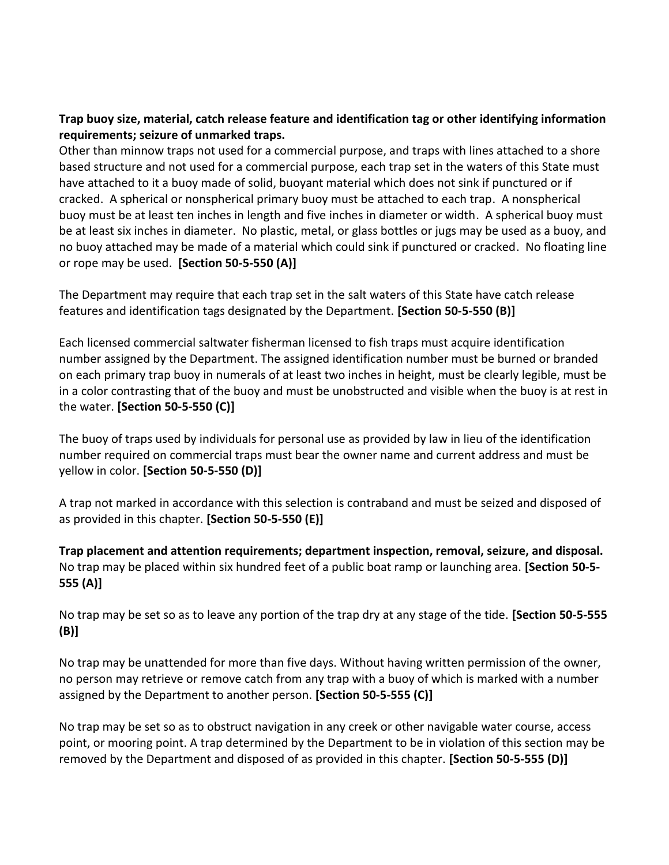## **Trap buoy size, material, catch release feature and identification tag or other identifying information requirements; seizure of unmarked traps.**

Other than minnow traps not used for a commercial purpose, and traps with lines attached to a shore based structure and not used for a commercial purpose, each trap set in the waters of this State must have attached to it a buoy made of solid, buoyant material which does not sink if punctured or if cracked. A spherical or nonspherical primary buoy must be attached to each trap. A nonspherical buoy must be at least ten inches in length and five inches in diameter or width. A spherical buoy must be at least six inches in diameter. No plastic, metal, or glass bottles or jugs may be used as a buoy, and no buoy attached may be made of a material which could sink if punctured or cracked. No floating line or rope may be used. **[Section 50-5-550 (A)]**

The Department may require that each trap set in the salt waters of this State have catch release features and identification tags designated by the Department. **[Section 50-5-550 (B)]** 

Each licensed commercial saltwater fisherman licensed to fish traps must acquire identification number assigned by the Department. The assigned identification number must be burned or branded on each primary trap buoy in numerals of at least two inches in height, must be clearly legible, must be in a color contrasting that of the buoy and must be unobstructed and visible when the buoy is at rest in the water. **[Section 50-5-550 (C)]** 

The buoy of traps used by individuals for personal use as provided by law in lieu of the identification number required on commercial traps must bear the owner name and current address and must be yellow in color. **[Section 50-5-550 (D)]** 

A trap not marked in accordance with this selection is contraband and must be seized and disposed of as provided in this chapter. **[Section 50-5-550 (E)]**

**Trap placement and attention requirements; department inspection, removal, seizure, and disposal.** No trap may be placed within six hundred feet of a public boat ramp or launching area. **[Section 50-5- 555 (A)]** 

No trap may be set so as to leave any portion of the trap dry at any stage of the tide. **[Section 50-5-555 (B)]** 

No trap may be unattended for more than five days. Without having written permission of the owner, no person may retrieve or remove catch from any trap with a buoy of which is marked with a number assigned by the Department to another person. **[Section 50-5-555 (C)]** 

No trap may be set so as to obstruct navigation in any creek or other navigable water course, access point, or mooring point. A trap determined by the Department to be in violation of this section may be removed by the Department and disposed of as provided in this chapter. **[Section 50-5-555 (D)]**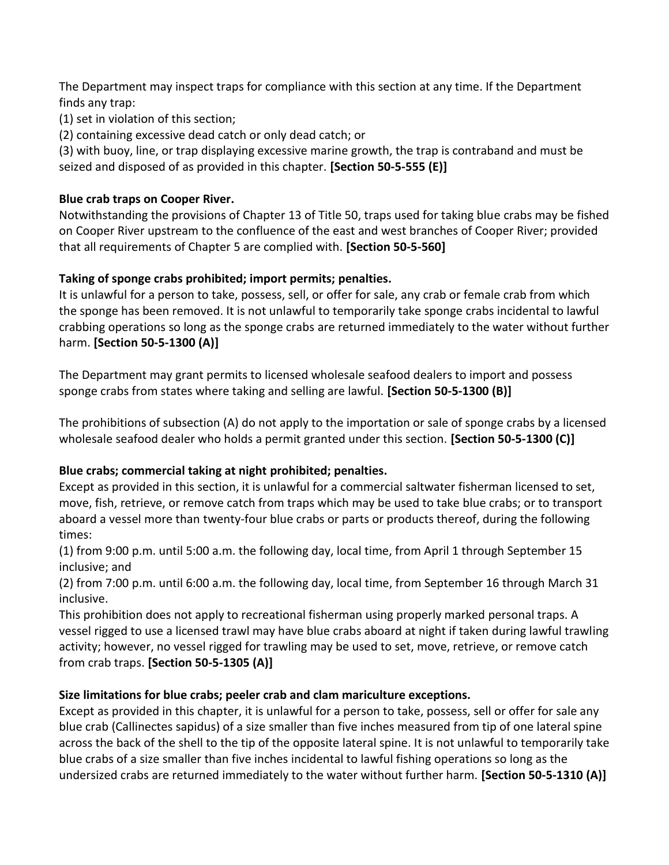The Department may inspect traps for compliance with this section at any time. If the Department finds any trap:

(1) set in violation of this section;

(2) containing excessive dead catch or only dead catch; or

(3) with buoy, line, or trap displaying excessive marine growth, the trap is contraband and must be seized and disposed of as provided in this chapter. **[Section 50-5-555 (E)]**

#### **Blue crab traps on Cooper River.**

Notwithstanding the provisions of Chapter 13 of Title 50, traps used for taking blue crabs may be fished on Cooper River upstream to the confluence of the east and west branches of Cooper River; provided that all requirements of Chapter 5 are complied with. **[Section 50-5-560]**

## **Taking of sponge crabs prohibited; import permits; penalties.**

It is unlawful for a person to take, possess, sell, or offer for sale, any crab or female crab from which the sponge has been removed. It is not unlawful to temporarily take sponge crabs incidental to lawful crabbing operations so long as the sponge crabs are returned immediately to the water without further harm. **[Section 50-5-1300 (A)]** 

The Department may grant permits to licensed wholesale seafood dealers to import and possess sponge crabs from states where taking and selling are lawful. **[Section 50-5-1300 (B)]** 

The prohibitions of subsection (A) do not apply to the importation or sale of sponge crabs by a licensed wholesale seafood dealer who holds a permit granted under this section. **[Section 50-5-1300 (C)]**

# **Blue crabs; commercial taking at night prohibited; penalties.**

Except as provided in this section, it is unlawful for a commercial saltwater fisherman licensed to set, move, fish, retrieve, or remove catch from traps which may be used to take blue crabs; or to transport aboard a vessel more than twenty-four blue crabs or parts or products thereof, during the following times:

(1) from 9:00 p.m. until 5:00 a.m. the following day, local time, from April 1 through September 15 inclusive; and

(2) from 7:00 p.m. until 6:00 a.m. the following day, local time, from September 16 through March 31 inclusive.

This prohibition does not apply to recreational fisherman using properly marked personal traps. A vessel rigged to use a licensed trawl may have blue crabs aboard at night if taken during lawful trawling activity; however, no vessel rigged for trawling may be used to set, move, retrieve, or remove catch from crab traps. **[Section 50-5-1305 (A)]**

#### **Size limitations for blue crabs; peeler crab and clam mariculture exceptions.**

Except as provided in this chapter, it is unlawful for a person to take, possess, sell or offer for sale any blue crab (Callinectes sapidus) of a size smaller than five inches measured from tip of one lateral spine across the back of the shell to the tip of the opposite lateral spine. It is not unlawful to temporarily take blue crabs of a size smaller than five inches incidental to lawful fishing operations so long as the undersized crabs are returned immediately to the water without further harm. **[Section 50-5-1310 (A)]**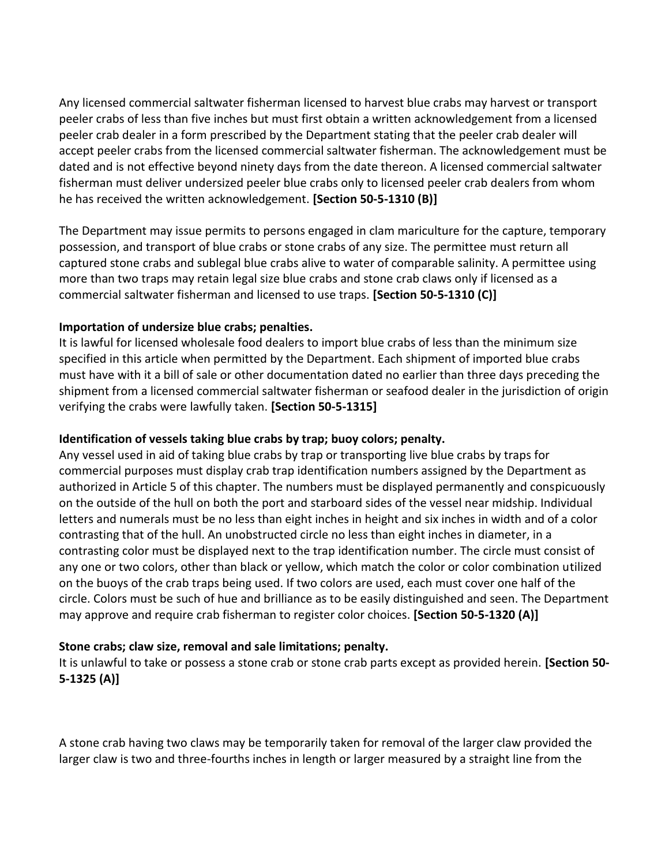Any licensed commercial saltwater fisherman licensed to harvest blue crabs may harvest or transport peeler crabs of less than five inches but must first obtain a written acknowledgement from a licensed peeler crab dealer in a form prescribed by the Department stating that the peeler crab dealer will accept peeler crabs from the licensed commercial saltwater fisherman. The acknowledgement must be dated and is not effective beyond ninety days from the date thereon. A licensed commercial saltwater fisherman must deliver undersized peeler blue crabs only to licensed peeler crab dealers from whom he has received the written acknowledgement. **[Section 50-5-1310 (B)]** 

The Department may issue permits to persons engaged in clam mariculture for the capture, temporary possession, and transport of blue crabs or stone crabs of any size. The permittee must return all captured stone crabs and sublegal blue crabs alive to water of comparable salinity. A permittee using more than two traps may retain legal size blue crabs and stone crab claws only if licensed as a commercial saltwater fisherman and licensed to use traps. **[Section 50-5-1310 (C)]**

#### **Importation of undersize blue crabs; penalties.**

It is lawful for licensed wholesale food dealers to import blue crabs of less than the minimum size specified in this article when permitted by the Department. Each shipment of imported blue crabs must have with it a bill of sale or other documentation dated no earlier than three days preceding the shipment from a licensed commercial saltwater fisherman or seafood dealer in the jurisdiction of origin verifying the crabs were lawfully taken. **[Section 50-5-1315]**

#### **Identification of vessels taking blue crabs by trap; buoy colors; penalty.**

Any vessel used in aid of taking blue crabs by trap or transporting live blue crabs by traps for commercial purposes must display crab trap identification numbers assigned by the Department as authorized in Article 5 of this chapter. The numbers must be displayed permanently and conspicuously on the outside of the hull on both the port and starboard sides of the vessel near midship. Individual letters and numerals must be no less than eight inches in height and six inches in width and of a color contrasting that of the hull. An unobstructed circle no less than eight inches in diameter, in a contrasting color must be displayed next to the trap identification number. The circle must consist of any one or two colors, other than black or yellow, which match the color or color combination utilized on the buoys of the crab traps being used. If two colors are used, each must cover one half of the circle. Colors must be such of hue and brilliance as to be easily distinguished and seen. The Department may approve and require crab fisherman to register color choices. **[Section 50-5-1320 (A)]**

#### **Stone crabs; claw size, removal and sale limitations; penalty.**

It is unlawful to take or possess a stone crab or stone crab parts except as provided herein. **[Section 50- 5-1325 (A)]** 

A stone crab having two claws may be temporarily taken for removal of the larger claw provided the larger claw is two and three-fourths inches in length or larger measured by a straight line from the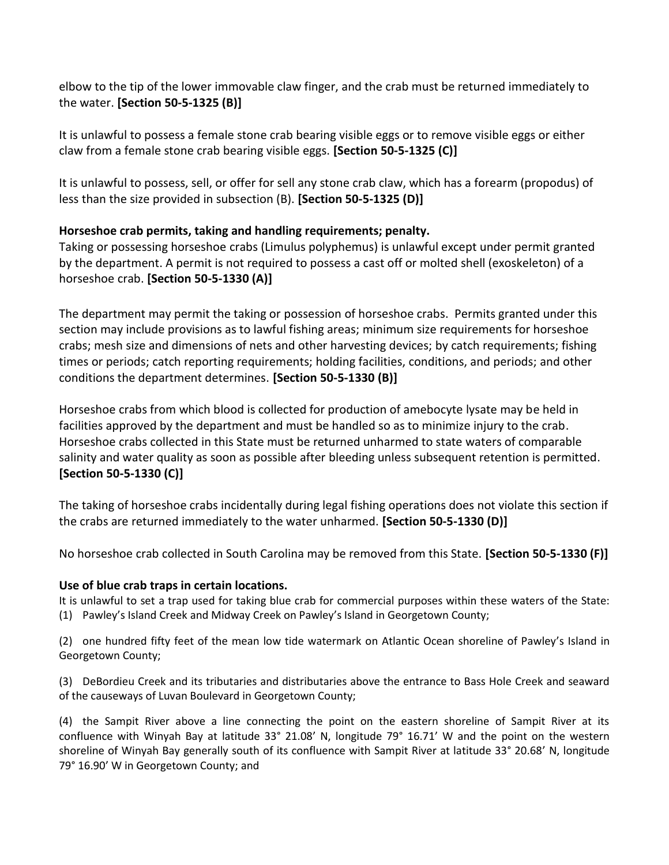elbow to the tip of the lower immovable claw finger, and the crab must be returned immediately to the water. **[Section 50-5-1325 (B)]** 

It is unlawful to possess a female stone crab bearing visible eggs or to remove visible eggs or either claw from a female stone crab bearing visible eggs. **[Section 50-5-1325 (C)]** 

It is unlawful to possess, sell, or offer for sell any stone crab claw, which has a forearm (propodus) of less than the size provided in subsection (B). **[Section 50-5-1325 (D)]**

## **Horseshoe crab permits, taking and handling requirements; penalty.**

Taking or possessing horseshoe crabs (Limulus polyphemus) is unlawful except under permit granted by the department. A permit is not required to possess a cast off or molted shell (exoskeleton) of a horseshoe crab. **[Section 50-5-1330 (A)]** 

The department may permit the taking or possession of horseshoe crabs. Permits granted under this section may include provisions as to lawful fishing areas; minimum size requirements for horseshoe crabs; mesh size and dimensions of nets and other harvesting devices; by catch requirements; fishing times or periods; catch reporting requirements; holding facilities, conditions, and periods; and other conditions the department determines. **[Section 50-5-1330 (B)]** 

Horseshoe crabs from which blood is collected for production of amebocyte lysate may be held in facilities approved by the department and must be handled so as to minimize injury to the crab. Horseshoe crabs collected in this State must be returned unharmed to state waters of comparable salinity and water quality as soon as possible after bleeding unless subsequent retention is permitted. **[Section 50-5-1330 (C)]** 

The taking of horseshoe crabs incidentally during legal fishing operations does not violate this section if the crabs are returned immediately to the water unharmed. **[Section 50-5-1330 (D)]** 

No horseshoe crab collected in South Carolina may be removed from this State. **[Section 50-5-1330 (F)]**

#### **Use of blue crab traps in certain locations.**

It is unlawful to set a trap used for taking blue crab for commercial purposes within these waters of the State: (1) Pawley's Island Creek and Midway Creek on Pawley's Island in Georgetown County;

(2) one hundred fifty feet of the mean low tide watermark on Atlantic Ocean shoreline of Pawley's Island in Georgetown County;

(3) DeBordieu Creek and its tributaries and distributaries above the entrance to Bass Hole Creek and seaward of the causeways of Luvan Boulevard in Georgetown County;

(4) the Sampit River above a line connecting the point on the eastern shoreline of Sampit River at its confluence with Winyah Bay at latitude 33° 21.08' N, longitude 79° 16.71' W and the point on the western shoreline of Winyah Bay generally south of its confluence with Sampit River at latitude 33° 20.68' N, longitude 79° 16.90' W in Georgetown County; and